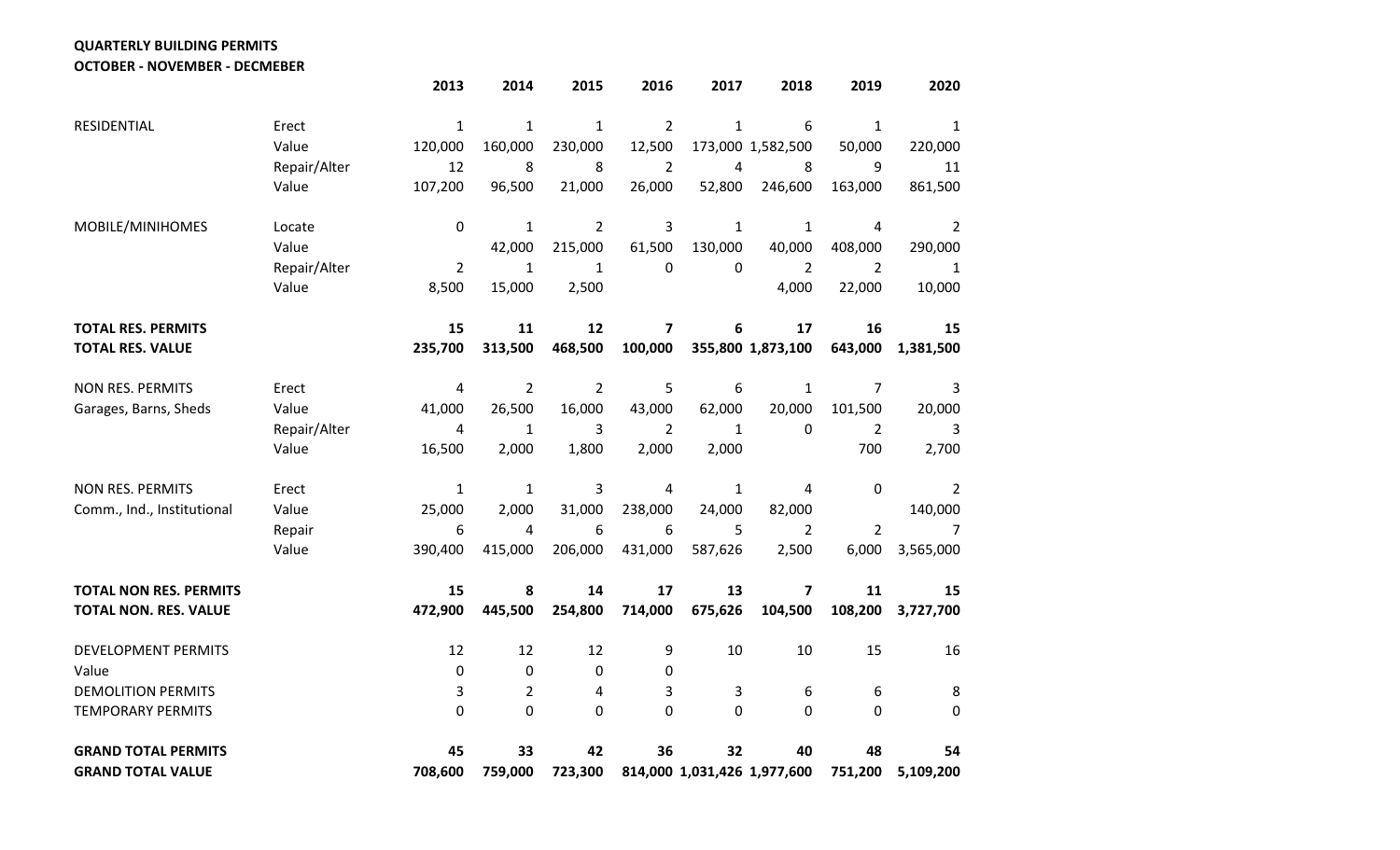**QUARTERLY BUILDING PERMITS**

**OCTOBER - NOVEMBER - DECMEBER**

|                               |              | 2013           | 2014           | 2015           | 2016           | 2017         | 2018                        | 2019           | 2020           |
|-------------------------------|--------------|----------------|----------------|----------------|----------------|--------------|-----------------------------|----------------|----------------|
| RESIDENTIAL                   | Erect        | $\mathbf{1}$   | $\mathbf{1}$   | $\mathbf{1}$   | $\overline{2}$ | $\mathbf{1}$ | 6                           | $\mathbf{1}$   | $\mathbf{1}$   |
|                               | Value        | 120,000        | 160,000        | 230,000        | 12,500         |              | 173,000 1,582,500           | 50,000         | 220,000        |
|                               | Repair/Alter | 12             | 8              | 8              | $\overline{2}$ | 4            | 8                           | 9              | 11             |
|                               | Value        | 107,200        | 96,500         | 21,000         | 26,000         | 52,800       | 246,600                     | 163,000        | 861,500        |
| MOBILE/MINIHOMES              | Locate       | 0              | $\mathbf 1$    | $\overline{2}$ | $\mathsf 3$    | $\mathbf{1}$ | $\mathbf{1}$                | $\overline{4}$ | $\overline{2}$ |
|                               | Value        |                | 42,000         | 215,000        | 61,500         | 130,000      | 40,000                      | 408,000        | 290,000        |
|                               | Repair/Alter | $\overline{2}$ | $\mathbf{1}$   | $\mathbf{1}$   | 0              | 0            | $\overline{2}$              | $\overline{2}$ | $\mathbf{1}$   |
|                               | Value        | 8,500          | 15,000         | 2,500          |                |              | 4,000                       | 22,000         | 10,000         |
| <b>TOTAL RES. PERMITS</b>     |              | 15             | 11             | 12             | 7              | 6            | 17                          | 16             | 15             |
| <b>TOTAL RES. VALUE</b>       |              | 235,700        | 313,500        | 468,500        | 100,000        |              | 355,800 1,873,100           | 643,000        | 1,381,500      |
| <b>NON RES. PERMITS</b>       | Erect        | 4              | $\overline{2}$ | $\overline{2}$ | 5              | 6            | $\mathbf{1}$                | $\overline{7}$ | 3              |
| Garages, Barns, Sheds         | Value        | 41,000         | 26,500         | 16,000         | 43,000         | 62,000       | 20,000                      | 101,500        | 20,000         |
|                               | Repair/Alter | 4              | 1              | 3              | 2              | $\mathbf{1}$ | 0                           | $\overline{2}$ | 3              |
|                               | Value        | 16,500         | 2,000          | 1,800          | 2,000          | 2,000        |                             | 700            | 2,700          |
| <b>NON RES. PERMITS</b>       | Erect        | $\mathbf{1}$   | $\mathbf{1}$   | 3              | 4              | $\mathbf{1}$ | 4                           | $\pmb{0}$      | $\overline{2}$ |
| Comm., Ind., Institutional    | Value        | 25,000         | 2,000          | 31,000         | 238,000        | 24,000       | 82,000                      |                | 140,000        |
|                               | Repair       | 6              | 4              | 6              | 6              | 5            | $\overline{2}$              | $\overline{2}$ | $\overline{7}$ |
|                               | Value        | 390,400        | 415,000        | 206,000        | 431,000        | 587,626      | 2,500                       | 6,000          | 3,565,000      |
| <b>TOTAL NON RES. PERMITS</b> |              | 15             | 8              | 14             | 17             | 13           | $\overline{\mathbf{z}}$     | 11             | 15             |
| <b>TOTAL NON. RES. VALUE</b>  |              | 472,900        | 445,500        | 254,800        | 714,000        | 675,626      | 104,500                     | 108,200        | 3,727,700      |
| DEVELOPMENT PERMITS           |              | 12             | 12             | 12             | 9              | 10           | 10                          | 15             | 16             |
| Value                         |              | 0              | $\pmb{0}$      | 0              | 0              |              |                             |                |                |
| <b>DEMOLITION PERMITS</b>     |              | 3              | $\overline{2}$ | 4              | 3              | 3            | 6                           | 6              | 8              |
| <b>TEMPORARY PERMITS</b>      |              | 0              | $\overline{0}$ | 0              | $\pmb{0}$      | 0            | 0                           | 0              | 0              |
| <b>GRAND TOTAL PERMITS</b>    |              | 45             | 33             | 42             | 36             | 32           | 40                          | 48             | 54             |
| <b>GRAND TOTAL VALUE</b>      |              | 708,600        | 759,000        | 723,300        |                |              | 814,000 1,031,426 1,977,600 | 751,200        | 5,109,200      |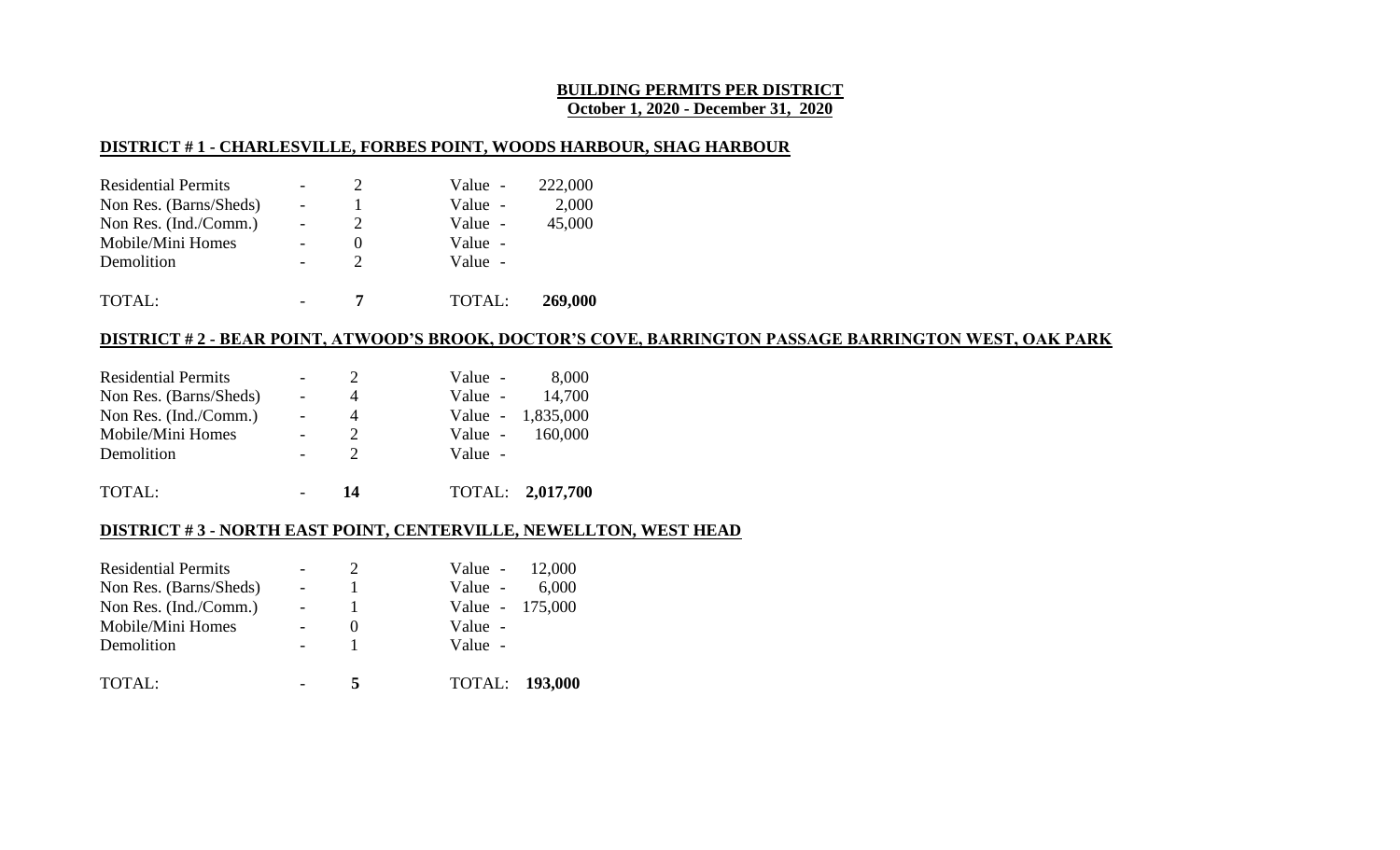## **BUILDING PERMITS PER DISTRICT October 1, 2020 - December 31, 2020**

## **DISTRICT # 1 - CHARLESVILLE, FORBES POINT, WOODS HARBOUR, SHAG HARBOUR**

| <b>Residential Permits</b> |                          | $\mathcal{D}$         | Value - | 222,000 |
|----------------------------|--------------------------|-----------------------|---------|---------|
| Non Res. (Barns/Sheds)     | $\overline{\phantom{0}}$ |                       | Value - | 2,000   |
| Non Res. (Ind./Comm.)      |                          | $\mathcal{D}_{\cdot}$ | Value - | 45,000  |
| Mobile/Mini Homes          |                          |                       | Value - |         |
| Demolition                 |                          |                       | Value - |         |
| TOTAL:                     |                          |                       | TOTAL:  | 269,000 |

## **DISTRICT # 2 - BEAR POINT, ATWOOD'S BROOK, DOCTOR'S COVE, BARRINGTON PASSAGE BARRINGTON WEST, OAK PARK**

| <b>Residential Permits</b> |                          |                       | Value - | 8,000             |
|----------------------------|--------------------------|-----------------------|---------|-------------------|
| Non Res. (Barns/Sheds)     | $\overline{a}$           | 4                     |         | Value - 14,700    |
| Non Res. (Ind./Comm.)      | $\overline{\phantom{a}}$ | 4                     |         | Value - 1,835,000 |
| Mobile/Mini Homes          |                          | $\mathcal{D}_{\cdot}$ |         | Value - 160,000   |
| Demolition                 |                          |                       | Value - |                   |
| TOTAL:                     |                          | 14                    |         | TOTAL: 2,017,700  |

## **DISTRICT # 3 - NORTH EAST POINT, CENTERVILLE, NEWELLTON, WEST HEAD**

| <b>Residential Permits</b> | 2        | Value $-12,000$       |       |
|----------------------------|----------|-----------------------|-------|
| Non Res. (Barns/Sheds)     |          | Value -               | 6,000 |
| Non Res. (Ind./Comm.)      |          | Value - 175,000       |       |
| Mobile/Mini Homes          | $\theta$ | Value -               |       |
| Demolition                 |          | Value -               |       |
| TOTAL:                     | 5        | <b>TOTAL: 193,000</b> |       |